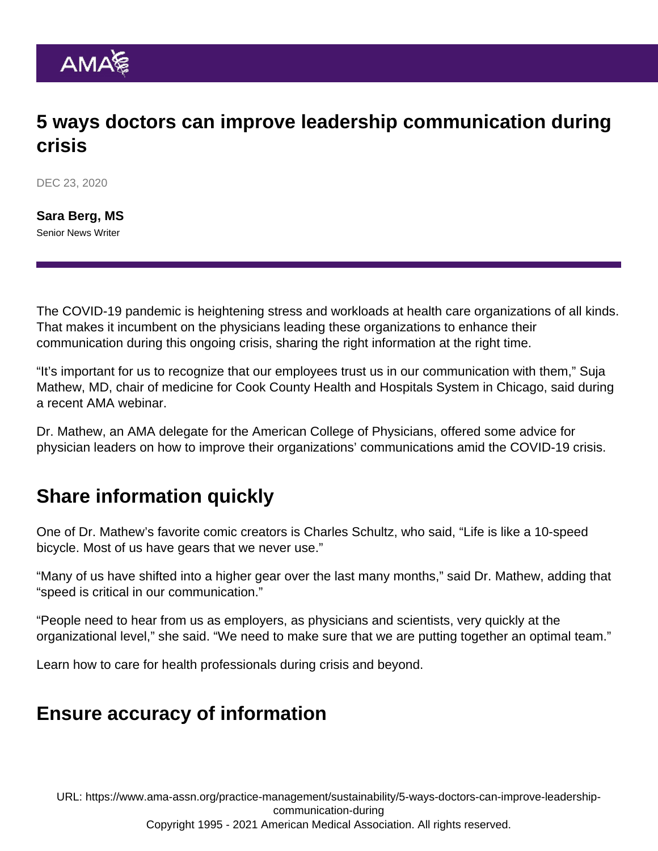# 5 ways doctors can improve leadership communication during crisis

DEC 23, 2020

[Sara Berg, MS](https://www.ama-assn.org/news-leadership-viewpoints/authors-news-leadership-viewpoints/sara-berg-ms) Senior News Writer

The COVID-19 pandemic is heightening stress and workloads at health care organizations of all kinds. That makes it incumbent on the physicians leading these organizations to enhance their communication during this ongoing crisis, sharing the right information at the right time.

"It's important for us to recognize that our employees trust us in our communication with them," Suja Mathew, MD, chair of medicine for Cook County Health and Hospitals System in Chicago, said during a recent AMA webinar.

Dr. Mathew, an AMA delegate for the American College of Physicians, offered some advice for physician leaders on how to improve their organizations' communications amid the COVID-19 crisis.

# Share information quickly

One of Dr. Mathew's favorite comic creators is Charles Schultz, who said, "Life is like a 10-speed bicycle. Most of us have gears that we never use."

"Many of us have shifted into a higher gear over the last many months," said Dr. Mathew, adding that "speed is critical in our communication."

"People need to hear from us as employers, as physicians and scientists, very quickly at the organizational level," she said. "We need to make sure that we are putting together an optimal team."

Learn [how to care for health professionals during crisis and beyond.](https://www.ama-assn.org/practice-management/physician-health/how-care-health-professionals-during-crisis-and-beyond)

#### Ensure accuracy of information

URL: [https://www.ama-assn.org/practice-management/sustainability/5-ways-doctors-can-improve-leadership](https://www.ama-assn.org/practice-management/sustainability/5-ways-doctors-can-improve-leadership-communication-during)[communication-during](https://www.ama-assn.org/practice-management/sustainability/5-ways-doctors-can-improve-leadership-communication-during)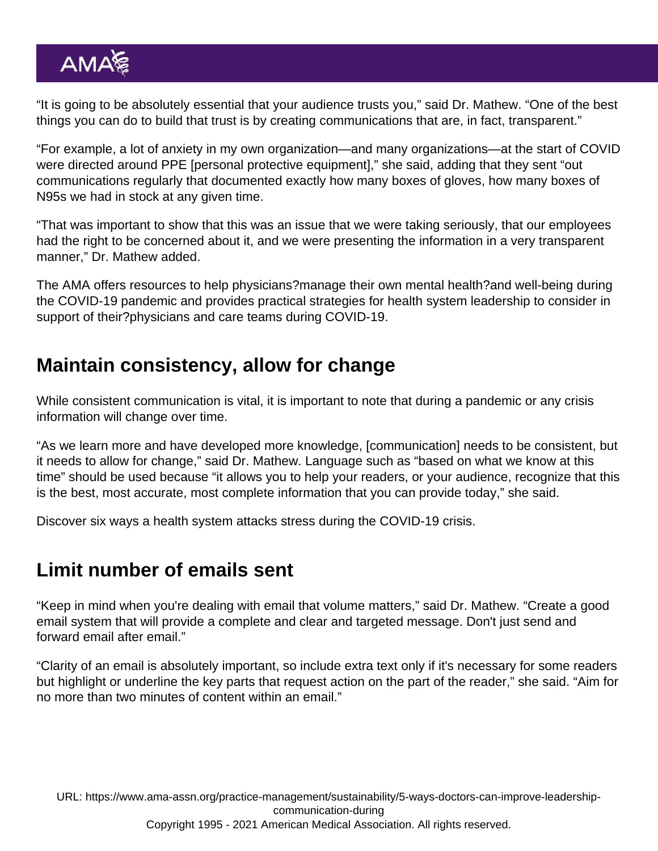"It is going to be absolutely essential that your audience trusts you," said Dr. Mathew. "One of the best things you can do to build that trust is by creating communications that are, in fact, transparent."

"For example, a lot of anxiety in my own organization—and many organizations—at the start of COVID were directed around PPE [personal protective equipment]," she said, adding that they sent "out communications regularly that documented exactly how many boxes of gloves, how many boxes of N95s we had in stock at any given time.

"That was important to show that this was an issue that we were taking seriously, that our employees had the right to be concerned about it, and we were presenting the information in a very transparent manner," Dr. Mathew added.

The AMA offers resources to help physicians?[manage their own mental health?](https://www.ama-assn.org/delivering-care/public-health/managing-mental-health-during-covid-19)and well-being during the COVID-19 pandemic and provides practical strategies for health system leadership to consider in support of their?[physicians and care teams during COVID-19](https://www.ama-assn.org/delivering-care/public-health/caring-our-caregivers-during-covid-19).

### Maintain consistency, allow for change

While consistent communication is vital, it is important to note that during a pandemic or any crisis information will change over time.

"As we learn more and have developed more knowledge, [communication] needs to be consistent, but it needs to allow for change," said Dr. Mathew. Language such as "based on what we know at this time" should be used because "it allows you to help your readers, or your audience, recognize that this is the best, most accurate, most complete information that you can provide today," she said.

Discover [six ways a health system attacks stress during the COVID-19 crisis](https://www.ama-assn.org/practice-management/physician-health/6-ways-health-system-attacks-stress-during-covid-19-crisis).

#### Limit number of emails sent

"Keep in mind when you're dealing with email that volume matters," said Dr. Mathew. "Create a good email system that will provide a complete and clear and targeted message. Don't just send and forward email after email."

"Clarity of an email is absolutely important, so include extra text only if it's necessary for some readers but highlight or underline the key parts that request action on the part of the reader," she said. "Aim for no more than two minutes of content within an email."

URL: [https://www.ama-assn.org/practice-management/sustainability/5-ways-doctors-can-improve-leadership](https://www.ama-assn.org/practice-management/sustainability/5-ways-doctors-can-improve-leadership-communication-during)[communication-during](https://www.ama-assn.org/practice-management/sustainability/5-ways-doctors-can-improve-leadership-communication-during)